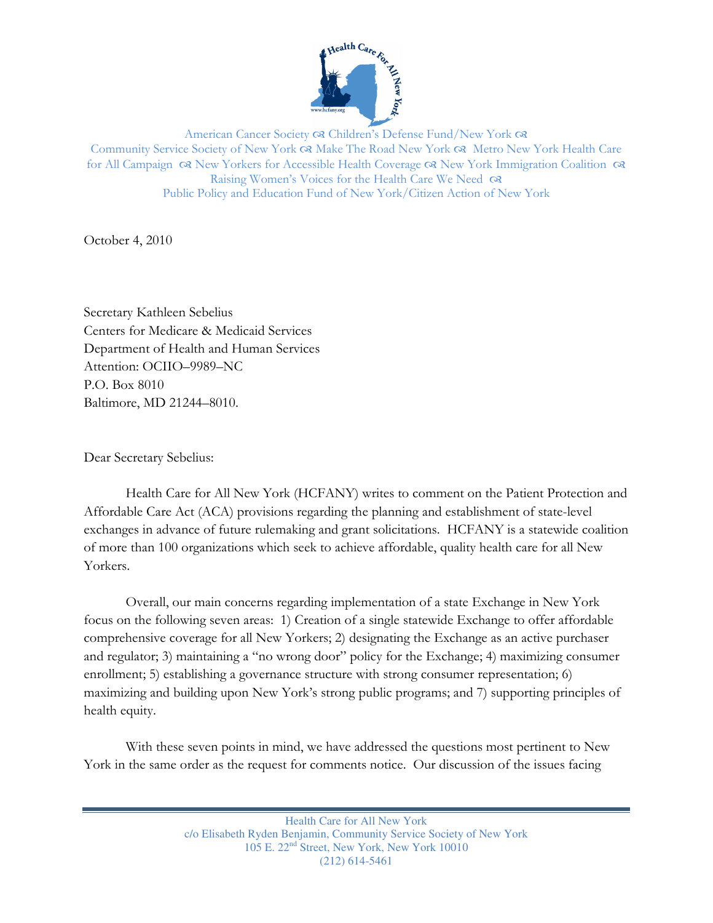

American Cancer Society & Children's Defense Fund/New York & Community Service Society of New York Make The Road New York Metro New York Health Care for All Campaign  $\alpha$  New Yorkers for Accessible Health Coverage  $\alpha$  New York Immigration Coalition  $\alpha$ Raising Women's Voices for the Health Care We Need  $\infty$ Public Policy and Education Fund of New York/Citizen Action of New York

October 4, 2010

Secretary Kathleen Sebelius Centers for Medicare & Medicaid Services Department of Health and Human Services Attention: OCIIO–9989–NC P.O. Box 8010 Baltimore, MD 21244–8010.

Dear Secretary Sebelius:

Health Care for All New York (HCFANY) writes to comment on the Patient Protection and Affordable Care Act (ACA) provisions regarding the planning and establishment of state-level exchanges in advance of future rulemaking and grant solicitations. HCFANY is a statewide coalition of more than 100 organizations which seek to achieve affordable, quality health care for all New Yorkers.

Overall, our main concerns regarding implementation of a state Exchange in New York focus on the following seven areas: 1) Creation of a single statewide Exchange to offer affordable comprehensive coverage for all New Yorkers; 2) designating the Exchange as an active purchaser and regulator; 3) maintaining a "no wrong door" policy for the Exchange; 4) maximizing consumer enrollment; 5) establishing a governance structure with strong consumer representation; 6) maximizing and building upon New York's strong public programs; and 7) supporting principles of health equity.

With these seven points in mind, we have addressed the questions most pertinent to New York in the same order as the request for comments notice. Our discussion of the issues facing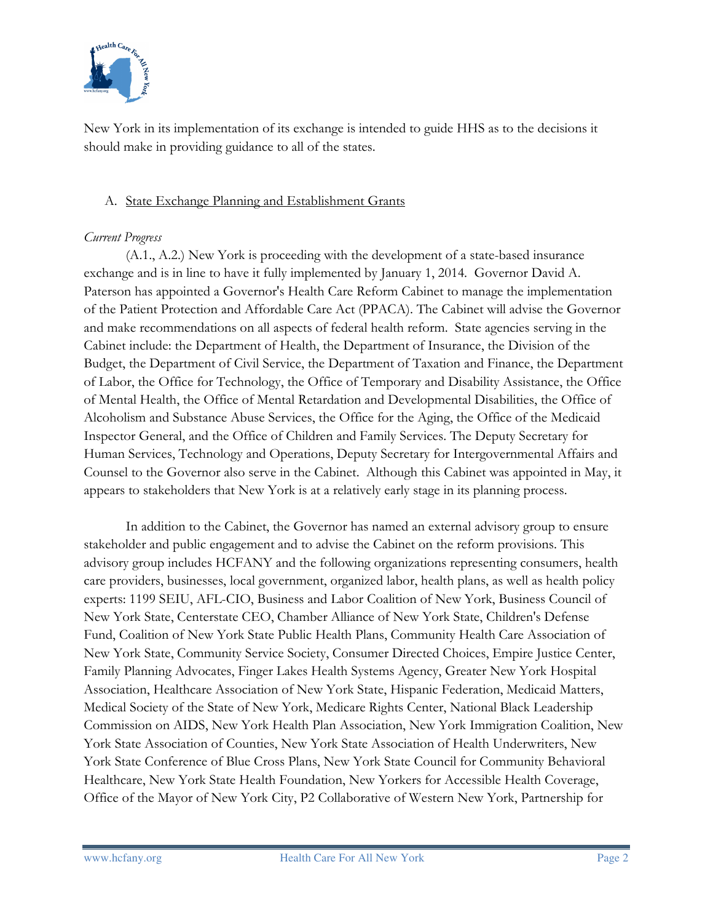

New York in its implementation of its exchange is intended to guide HHS as to the decisions it should make in providing guidance to all of the states.

### A. State Exchange Planning and Establishment Grants

### Current Progress

(A.1., A.2.) New York is proceeding with the development of a state-based insurance exchange and is in line to have it fully implemented by January 1, 2014. Governor David A. Paterson has appointed a Governor's Health Care Reform Cabinet to manage the implementation of the Patient Protection and Affordable Care Act (PPACA). The Cabinet will advise the Governor and make recommendations on all aspects of federal health reform. State agencies serving in the Cabinet include: the Department of Health, the Department of Insurance, the Division of the Budget, the Department of Civil Service, the Department of Taxation and Finance, the Department of Labor, the Office for Technology, the Office of Temporary and Disability Assistance, the Office of Mental Health, the Office of Mental Retardation and Developmental Disabilities, the Office of Alcoholism and Substance Abuse Services, the Office for the Aging, the Office of the Medicaid Inspector General, and the Office of Children and Family Services. The Deputy Secretary for Human Services, Technology and Operations, Deputy Secretary for Intergovernmental Affairs and Counsel to the Governor also serve in the Cabinet. Although this Cabinet was appointed in May, it appears to stakeholders that New York is at a relatively early stage in its planning process.

 In addition to the Cabinet, the Governor has named an external advisory group to ensure stakeholder and public engagement and to advise the Cabinet on the reform provisions. This advisory group includes HCFANY and the following organizations representing consumers, health care providers, businesses, local government, organized labor, health plans, as well as health policy experts: 1199 SEIU, AFL-CIO, Business and Labor Coalition of New York, Business Council of New York State, Centerstate CEO, Chamber Alliance of New York State, Children's Defense Fund, Coalition of New York State Public Health Plans, Community Health Care Association of New York State, Community Service Society, Consumer Directed Choices, Empire Justice Center, Family Planning Advocates, Finger Lakes Health Systems Agency, Greater New York Hospital Association, Healthcare Association of New York State, Hispanic Federation, Medicaid Matters, Medical Society of the State of New York, Medicare Rights Center, National Black Leadership Commission on AIDS, New York Health Plan Association, New York Immigration Coalition, New York State Association of Counties, New York State Association of Health Underwriters, New York State Conference of Blue Cross Plans, New York State Council for Community Behavioral Healthcare, New York State Health Foundation, New Yorkers for Accessible Health Coverage, Office of the Mayor of New York City, P2 Collaborative of Western New York, Partnership for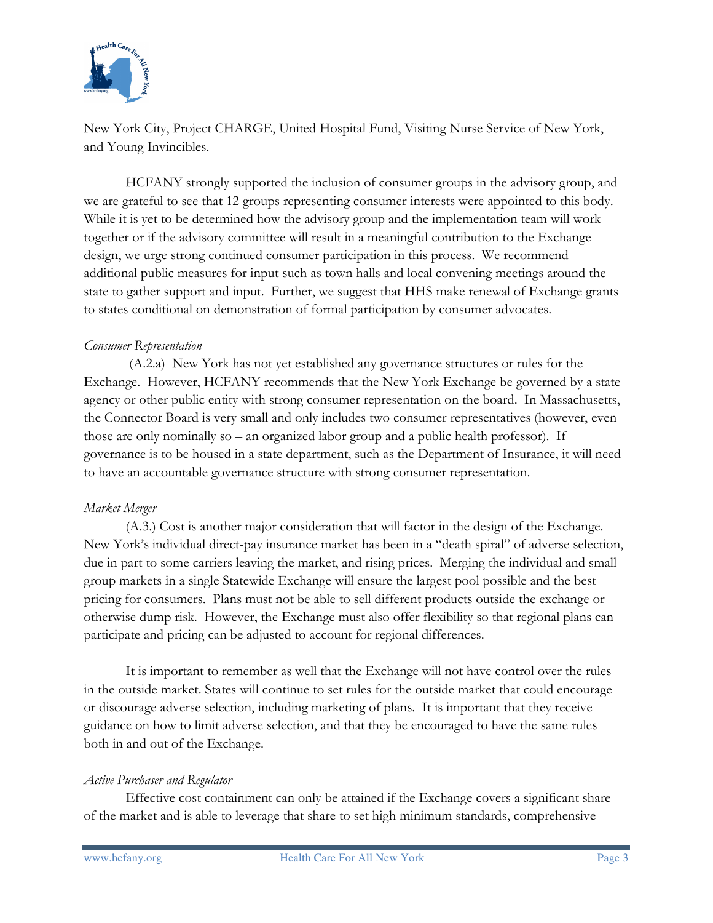

New York City, Project CHARGE, United Hospital Fund, Visiting Nurse Service of New York, and Young Invincibles.

HCFANY strongly supported the inclusion of consumer groups in the advisory group, and we are grateful to see that 12 groups representing consumer interests were appointed to this body. While it is yet to be determined how the advisory group and the implementation team will work together or if the advisory committee will result in a meaningful contribution to the Exchange design, we urge strong continued consumer participation in this process. We recommend additional public measures for input such as town halls and local convening meetings around the state to gather support and input. Further, we suggest that HHS make renewal of Exchange grants to states conditional on demonstration of formal participation by consumer advocates.

#### Consumer Representation

 (A.2.a) New York has not yet established any governance structures or rules for the Exchange. However, HCFANY recommends that the New York Exchange be governed by a state agency or other public entity with strong consumer representation on the board. In Massachusetts, the Connector Board is very small and only includes two consumer representatives (however, even those are only nominally so – an organized labor group and a public health professor). If governance is to be housed in a state department, such as the Department of Insurance, it will need to have an accountable governance structure with strong consumer representation.

#### Market Merger

(A.3.) Cost is another major consideration that will factor in the design of the Exchange. New York's individual direct-pay insurance market has been in a "death spiral" of adverse selection, due in part to some carriers leaving the market, and rising prices. Merging the individual and small group markets in a single Statewide Exchange will ensure the largest pool possible and the best pricing for consumers. Plans must not be able to sell different products outside the exchange or otherwise dump risk. However, the Exchange must also offer flexibility so that regional plans can participate and pricing can be adjusted to account for regional differences.

It is important to remember as well that the Exchange will not have control over the rules in the outside market. States will continue to set rules for the outside market that could encourage or discourage adverse selection, including marketing of plans. It is important that they receive guidance on how to limit adverse selection, and that they be encouraged to have the same rules both in and out of the Exchange.

# Active Purchaser and Regulator

Effective cost containment can only be attained if the Exchange covers a significant share of the market and is able to leverage that share to set high minimum standards, comprehensive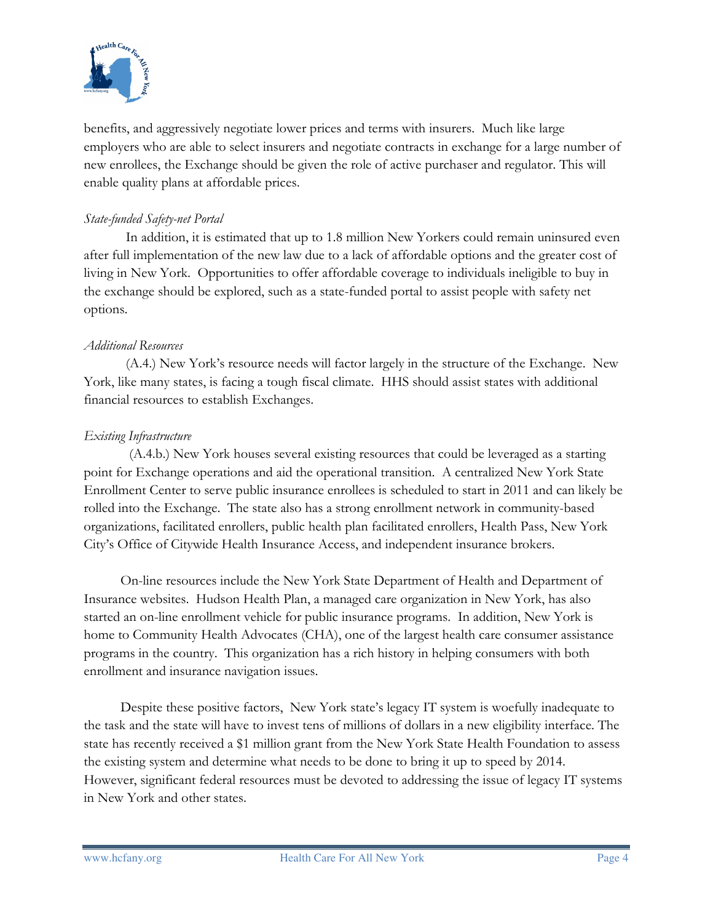

benefits, and aggressively negotiate lower prices and terms with insurers. Much like large employers who are able to select insurers and negotiate contracts in exchange for a large number of new enrollees, the Exchange should be given the role of active purchaser and regulator. This will enable quality plans at affordable prices.

### State-funded Safety-net Portal

In addition, it is estimated that up to 1.8 million New Yorkers could remain uninsured even after full implementation of the new law due to a lack of affordable options and the greater cost of living in New York. Opportunities to offer affordable coverage to individuals ineligible to buy in the exchange should be explored, such as a state-funded portal to assist people with safety net options.

#### Additional Resources

 (A.4.) New York's resource needs will factor largely in the structure of the Exchange. New York, like many states, is facing a tough fiscal climate. HHS should assist states with additional financial resources to establish Exchanges.

#### Existing Infrastructure

 (A.4.b.) New York houses several existing resources that could be leveraged as a starting point for Exchange operations and aid the operational transition. A centralized New York State Enrollment Center to serve public insurance enrollees is scheduled to start in 2011 and can likely be rolled into the Exchange. The state also has a strong enrollment network in community-based organizations, facilitated enrollers, public health plan facilitated enrollers, Health Pass, New York City's Office of Citywide Health Insurance Access, and independent insurance brokers.

On-line resources include the New York State Department of Health and Department of Insurance websites. Hudson Health Plan, a managed care organization in New York, has also started an on-line enrollment vehicle for public insurance programs. In addition, New York is home to Community Health Advocates (CHA), one of the largest health care consumer assistance programs in the country. This organization has a rich history in helping consumers with both enrollment and insurance navigation issues.

Despite these positive factors, New York state's legacy IT system is woefully inadequate to the task and the state will have to invest tens of millions of dollars in a new eligibility interface. The state has recently received a \$1 million grant from the New York State Health Foundation to assess the existing system and determine what needs to be done to bring it up to speed by 2014. However, significant federal resources must be devoted to addressing the issue of legacy IT systems in New York and other states.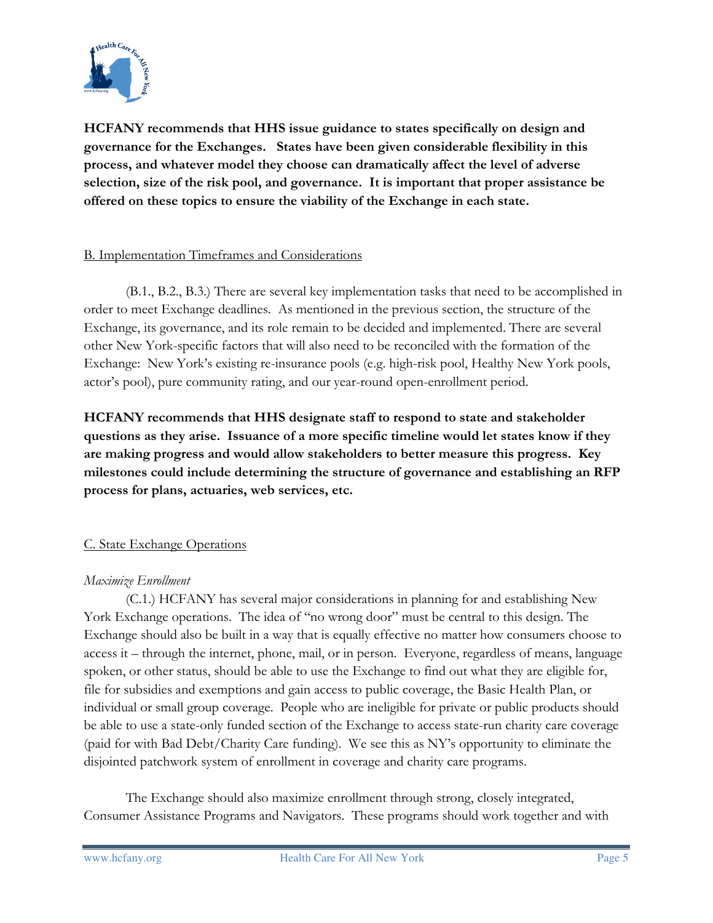

HCFANY recommends that HHS issue guidance to states specifically on design and governance for the Exchanges. States have been given considerable flexibility in this process, and whatever model they choose can dramatically affect the level of adverse selection, size of the risk pool, and governance. It is important that proper assistance be offered on these topics to ensure the viability of the Exchange in each state.

#### B. Implementation Timeframes and Considerations

(B.1., B.2., B.3.) There are several key implementation tasks that need to be accomplished in order to meet Exchange deadlines. As mentioned in the previous section, the structure of the Exchange, its governance, and its role remain to be decided and implemented. There are several other New York-specific factors that will also need to be reconciled with the formation of the Exchange: New York's existing re-insurance pools (e.g. high-risk pool, Healthy New York pools, actor's pool), pure community rating, and our year-round open-enrollment period.

HCFANY recommends that HHS designate staff to respond to state and stakeholder questions as they arise. Issuance of a more specific timeline would let states know if they are making progress and would allow stakeholders to better measure this progress. Key milestones could include determining the structure of governance and establishing an RFP process for plans, actuaries, web services, etc.

# C. State Exchange Operations

# Maximize Enrollment

(C.1.) HCFANY has several major considerations in planning for and establishing New York Exchange operations. The idea of "no wrong door" must be central to this design. The Exchange should also be built in a way that is equally effective no matter how consumers choose to access it – through the internet, phone, mail, or in person. Everyone, regardless of means, language spoken, or other status, should be able to use the Exchange to find out what they are eligible for, file for subsidies and exemptions and gain access to public coverage, the Basic Health Plan, or individual or small group coverage. People who are ineligible for private or public products should be able to use a state-only funded section of the Exchange to access state-run charity care coverage (paid for with Bad Debt/Charity Care funding). We see this as NY's opportunity to eliminate the disjointed patchwork system of enrollment in coverage and charity care programs.

The Exchange should also maximize enrollment through strong, closely integrated, Consumer Assistance Programs and Navigators. These programs should work together and with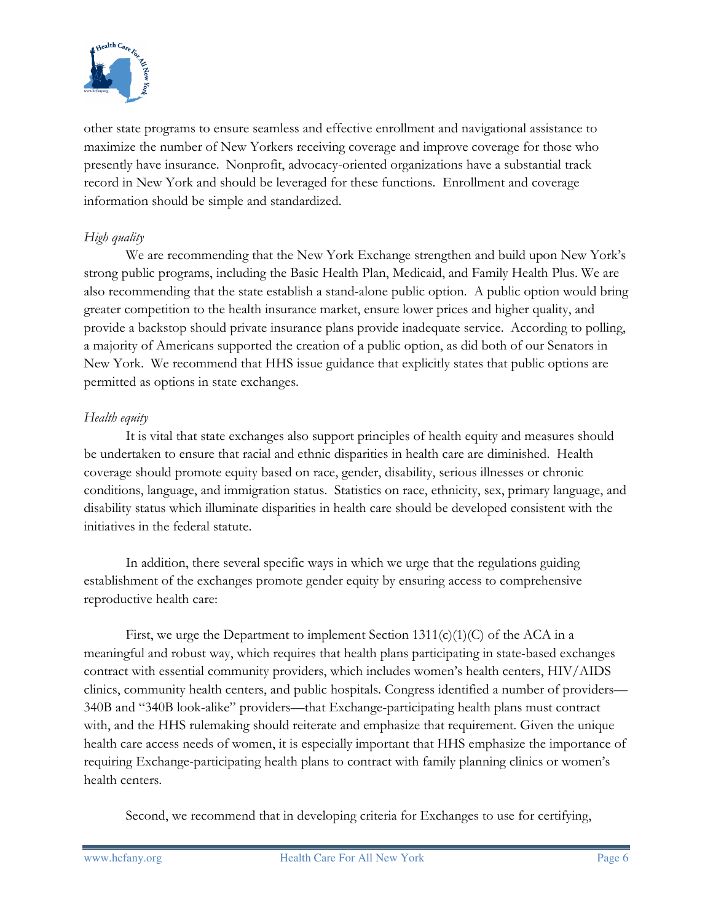

other state programs to ensure seamless and effective enrollment and navigational assistance to maximize the number of New Yorkers receiving coverage and improve coverage for those who presently have insurance. Nonprofit, advocacy-oriented organizations have a substantial track record in New York and should be leveraged for these functions. Enrollment and coverage information should be simple and standardized.

## High quality

 We are recommending that the New York Exchange strengthen and build upon New York's strong public programs, including the Basic Health Plan, Medicaid, and Family Health Plus. We are also recommending that the state establish a stand-alone public option. A public option would bring greater competition to the health insurance market, ensure lower prices and higher quality, and provide a backstop should private insurance plans provide inadequate service. According to polling, a majority of Americans supported the creation of a public option, as did both of our Senators in New York. We recommend that HHS issue guidance that explicitly states that public options are permitted as options in state exchanges.

#### Health equity

It is vital that state exchanges also support principles of health equity and measures should be undertaken to ensure that racial and ethnic disparities in health care are diminished. Health coverage should promote equity based on race, gender, disability, serious illnesses or chronic conditions, language, and immigration status. Statistics on race, ethnicity, sex, primary language, and disability status which illuminate disparities in health care should be developed consistent with the initiatives in the federal statute.

In addition, there several specific ways in which we urge that the regulations guiding establishment of the exchanges promote gender equity by ensuring access to comprehensive reproductive health care:

First, we urge the Department to implement Section  $1311(c)(1)(C)$  of the ACA in a meaningful and robust way, which requires that health plans participating in state-based exchanges contract with essential community providers, which includes women's health centers, HIV/AIDS clinics, community health centers, and public hospitals. Congress identified a number of providers— 340B and "340B look-alike" providers—that Exchange-participating health plans must contract with, and the HHS rulemaking should reiterate and emphasize that requirement. Given the unique health care access needs of women, it is especially important that HHS emphasize the importance of requiring Exchange-participating health plans to contract with family planning clinics or women's health centers.

Second, we recommend that in developing criteria for Exchanges to use for certifying,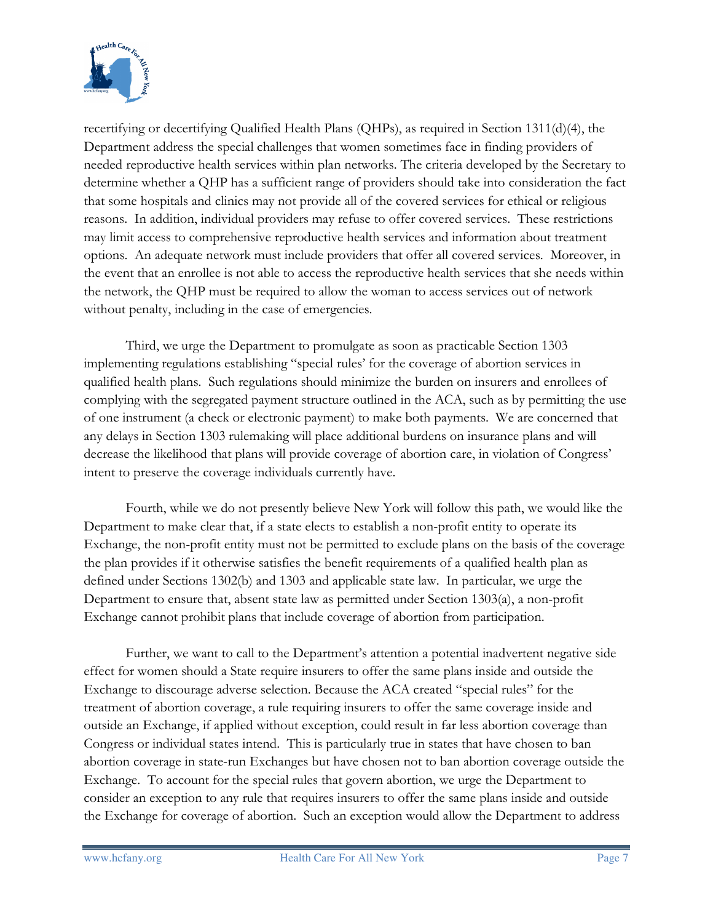

recertifying or decertifying Qualified Health Plans (QHPs), as required in Section 1311(d)(4), the Department address the special challenges that women sometimes face in finding providers of needed reproductive health services within plan networks. The criteria developed by the Secretary to determine whether a QHP has a sufficient range of providers should take into consideration the fact that some hospitals and clinics may not provide all of the covered services for ethical or religious reasons. In addition, individual providers may refuse to offer covered services. These restrictions may limit access to comprehensive reproductive health services and information about treatment options. An adequate network must include providers that offer all covered services. Moreover, in the event that an enrollee is not able to access the reproductive health services that she needs within the network, the QHP must be required to allow the woman to access services out of network without penalty, including in the case of emergencies.

Third, we urge the Department to promulgate as soon as practicable Section 1303 implementing regulations establishing "special rules' for the coverage of abortion services in qualified health plans. Such regulations should minimize the burden on insurers and enrollees of complying with the segregated payment structure outlined in the ACA, such as by permitting the use of one instrument (a check or electronic payment) to make both payments. We are concerned that any delays in Section 1303 rulemaking will place additional burdens on insurance plans and will decrease the likelihood that plans will provide coverage of abortion care, in violation of Congress' intent to preserve the coverage individuals currently have.

Fourth, while we do not presently believe New York will follow this path, we would like the Department to make clear that, if a state elects to establish a non-profit entity to operate its Exchange, the non-profit entity must not be permitted to exclude plans on the basis of the coverage the plan provides if it otherwise satisfies the benefit requirements of a qualified health plan as defined under Sections 1302(b) and 1303 and applicable state law. In particular, we urge the Department to ensure that, absent state law as permitted under Section 1303(a), a non-profit Exchange cannot prohibit plans that include coverage of abortion from participation.

 Further, we want to call to the Department's attention a potential inadvertent negative side effect for women should a State require insurers to offer the same plans inside and outside the Exchange to discourage adverse selection. Because the ACA created "special rules" for the treatment of abortion coverage, a rule requiring insurers to offer the same coverage inside and outside an Exchange, if applied without exception, could result in far less abortion coverage than Congress or individual states intend. This is particularly true in states that have chosen to ban abortion coverage in state-run Exchanges but have chosen not to ban abortion coverage outside the Exchange. To account for the special rules that govern abortion, we urge the Department to consider an exception to any rule that requires insurers to offer the same plans inside and outside the Exchange for coverage of abortion. Such an exception would allow the Department to address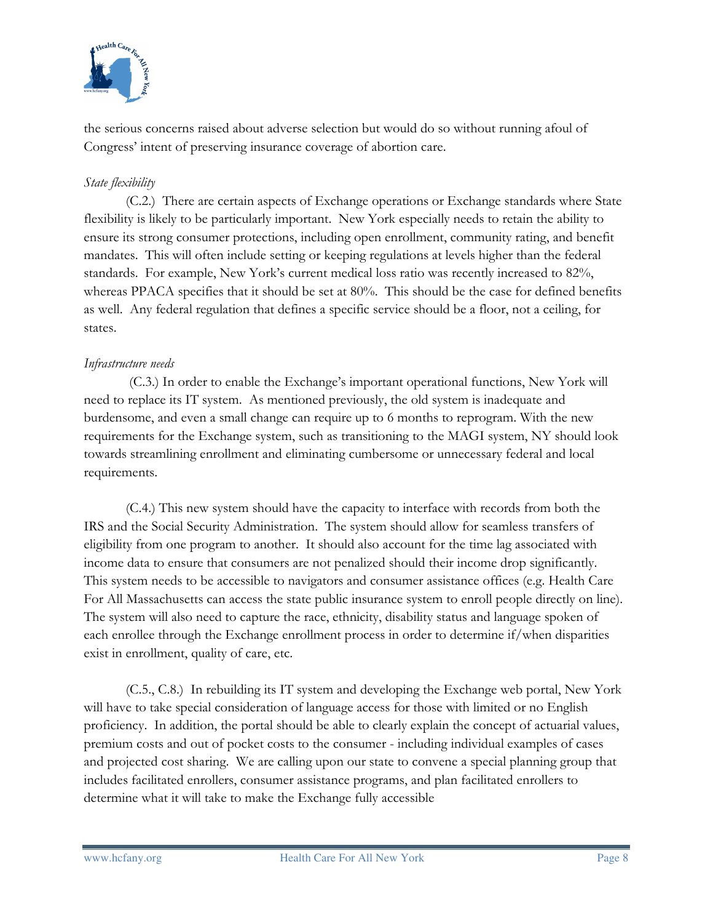

the serious concerns raised about adverse selection but would do so without running afoul of Congress' intent of preserving insurance coverage of abortion care.

## State flexibility

(C.2.) There are certain aspects of Exchange operations or Exchange standards where State flexibility is likely to be particularly important. New York especially needs to retain the ability to ensure its strong consumer protections, including open enrollment, community rating, and benefit mandates. This will often include setting or keeping regulations at levels higher than the federal standards. For example, New York's current medical loss ratio was recently increased to 82%, whereas PPACA specifies that it should be set at 80%. This should be the case for defined benefits as well. Any federal regulation that defines a specific service should be a floor, not a ceiling, for states.

### Infrastructure needs

 (C.3.) In order to enable the Exchange's important operational functions, New York will need to replace its IT system. As mentioned previously, the old system is inadequate and burdensome, and even a small change can require up to 6 months to reprogram. With the new requirements for the Exchange system, such as transitioning to the MAGI system, NY should look towards streamlining enrollment and eliminating cumbersome or unnecessary federal and local requirements.

 (C.4.) This new system should have the capacity to interface with records from both the IRS and the Social Security Administration. The system should allow for seamless transfers of eligibility from one program to another. It should also account for the time lag associated with income data to ensure that consumers are not penalized should their income drop significantly. This system needs to be accessible to navigators and consumer assistance offices (e.g. Health Care For All Massachusetts can access the state public insurance system to enroll people directly on line). The system will also need to capture the race, ethnicity, disability status and language spoken of each enrollee through the Exchange enrollment process in order to determine if/when disparities exist in enrollment, quality of care, etc.

(C.5., C.8.) In rebuilding its IT system and developing the Exchange web portal, New York will have to take special consideration of language access for those with limited or no English proficiency. In addition, the portal should be able to clearly explain the concept of actuarial values, premium costs and out of pocket costs to the consumer - including individual examples of cases and projected cost sharing. We are calling upon our state to convene a special planning group that includes facilitated enrollers, consumer assistance programs, and plan facilitated enrollers to determine what it will take to make the Exchange fully accessible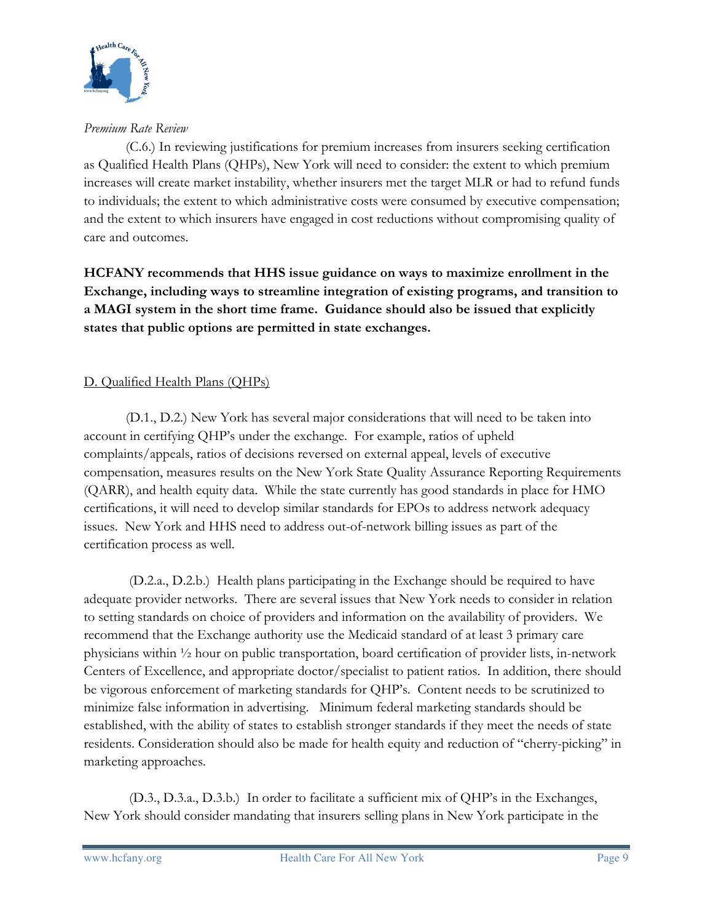

Premium Rate Review

(C.6.) In reviewing justifications for premium increases from insurers seeking certification as Qualified Health Plans (QHPs), New York will need to consider: the extent to which premium increases will create market instability, whether insurers met the target MLR or had to refund funds to individuals; the extent to which administrative costs were consumed by executive compensation; and the extent to which insurers have engaged in cost reductions without compromising quality of care and outcomes.

HCFANY recommends that HHS issue guidance on ways to maximize enrollment in the Exchange, including ways to streamline integration of existing programs, and transition to a MAGI system in the short time frame. Guidance should also be issued that explicitly states that public options are permitted in state exchanges.

# D. Qualified Health Plans (QHPs)

(D.1., D.2.) New York has several major considerations that will need to be taken into account in certifying QHP's under the exchange. For example, ratios of upheld complaints/appeals, ratios of decisions reversed on external appeal, levels of executive compensation, measures results on the New York State Quality Assurance Reporting Requirements (QARR), and health equity data. While the state currently has good standards in place for HMO certifications, it will need to develop similar standards for EPOs to address network adequacy issues. New York and HHS need to address out-of-network billing issues as part of the certification process as well.

 (D.2.a., D.2.b.) Health plans participating in the Exchange should be required to have adequate provider networks. There are several issues that New York needs to consider in relation to setting standards on choice of providers and information on the availability of providers. We recommend that the Exchange authority use the Medicaid standard of at least 3 primary care physicians within ½ hour on public transportation, board certification of provider lists, in-network Centers of Excellence, and appropriate doctor/specialist to patient ratios. In addition, there should be vigorous enforcement of marketing standards for QHP's. Content needs to be scrutinized to minimize false information in advertising. Minimum federal marketing standards should be established, with the ability of states to establish stronger standards if they meet the needs of state residents. Consideration should also be made for health equity and reduction of "cherry-picking" in marketing approaches.

 (D.3., D.3.a., D.3.b.) In order to facilitate a sufficient mix of QHP's in the Exchanges, New York should consider mandating that insurers selling plans in New York participate in the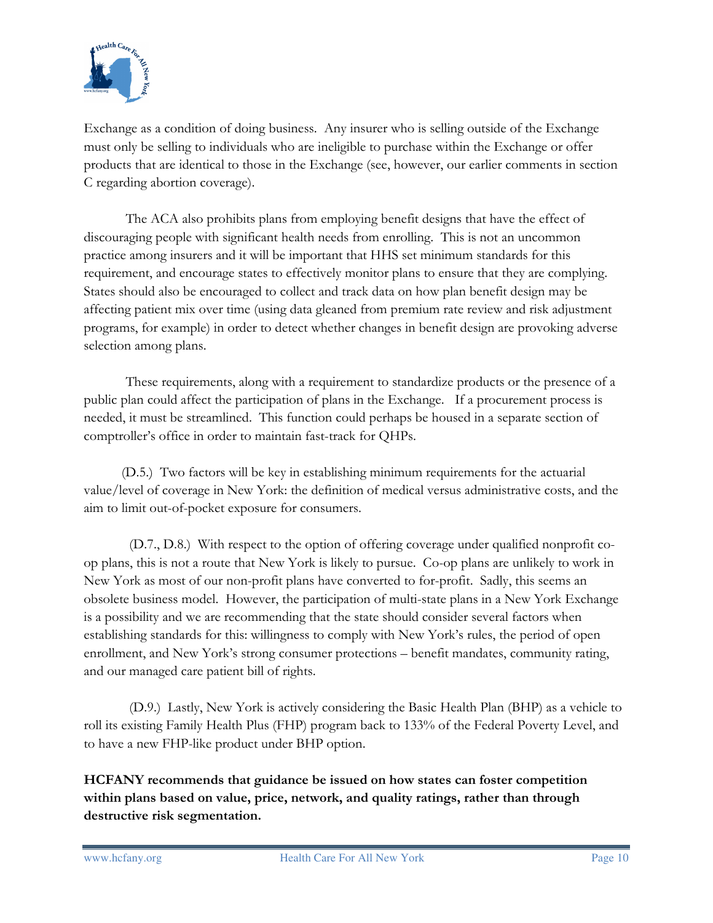

Exchange as a condition of doing business. Any insurer who is selling outside of the Exchange must only be selling to individuals who are ineligible to purchase within the Exchange or offer products that are identical to those in the Exchange (see, however, our earlier comments in section C regarding abortion coverage).

The ACA also prohibits plans from employing benefit designs that have the effect of discouraging people with significant health needs from enrolling. This is not an uncommon practice among insurers and it will be important that HHS set minimum standards for this requirement, and encourage states to effectively monitor plans to ensure that they are complying. States should also be encouraged to collect and track data on how plan benefit design may be affecting patient mix over time (using data gleaned from premium rate review and risk adjustment programs, for example) in order to detect whether changes in benefit design are provoking adverse selection among plans.

These requirements, along with a requirement to standardize products or the presence of a public plan could affect the participation of plans in the Exchange. If a procurement process is needed, it must be streamlined. This function could perhaps be housed in a separate section of comptroller's office in order to maintain fast-track for QHPs.

 (D.5.) Two factors will be key in establishing minimum requirements for the actuarial value/level of coverage in New York: the definition of medical versus administrative costs, and the aim to limit out-of-pocket exposure for consumers.

 (D.7., D.8.) With respect to the option of offering coverage under qualified nonprofit coop plans, this is not a route that New York is likely to pursue. Co-op plans are unlikely to work in New York as most of our non-profit plans have converted to for-profit. Sadly, this seems an obsolete business model. However, the participation of multi-state plans in a New York Exchange is a possibility and we are recommending that the state should consider several factors when establishing standards for this: willingness to comply with New York's rules, the period of open enrollment, and New York's strong consumer protections – benefit mandates, community rating, and our managed care patient bill of rights.

 (D.9.) Lastly, New York is actively considering the Basic Health Plan (BHP) as a vehicle to roll its existing Family Health Plus (FHP) program back to 133% of the Federal Poverty Level, and to have a new FHP-like product under BHP option.

HCFANY recommends that guidance be issued on how states can foster competition within plans based on value, price, network, and quality ratings, rather than through destructive risk segmentation.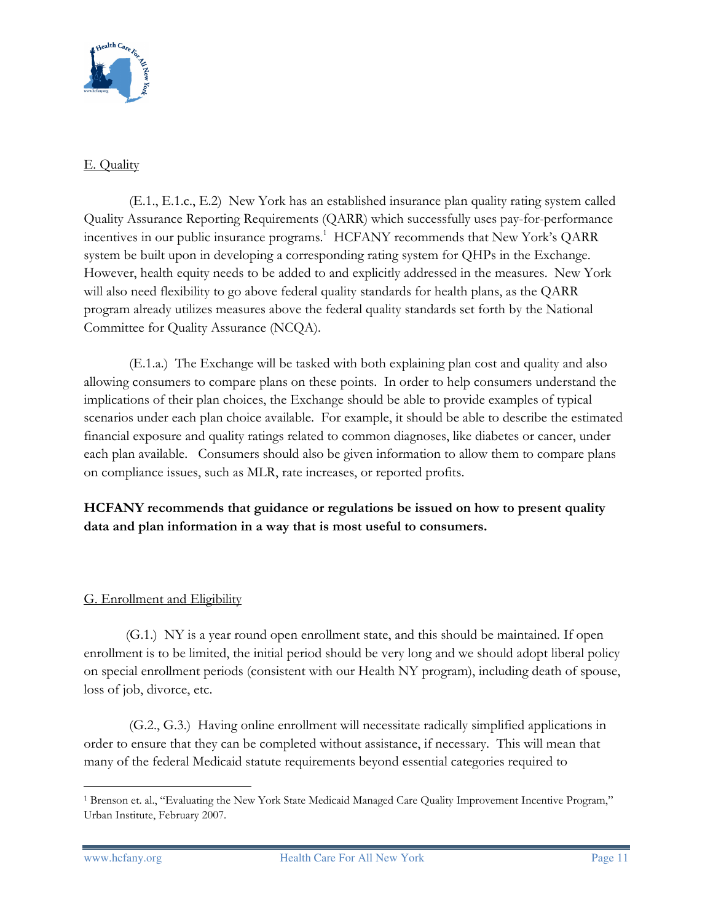

## E. Quality

 (E.1., E.1.c., E.2) New York has an established insurance plan quality rating system called Quality Assurance Reporting Requirements (QARR) which successfully uses pay-for-performance incentives in our public insurance programs.<sup>1</sup> HCFANY recommends that New York's QARR system be built upon in developing a corresponding rating system for QHPs in the Exchange. However, health equity needs to be added to and explicitly addressed in the measures. New York will also need flexibility to go above federal quality standards for health plans, as the QARR program already utilizes measures above the federal quality standards set forth by the National Committee for Quality Assurance (NCQA).

 (E.1.a.) The Exchange will be tasked with both explaining plan cost and quality and also allowing consumers to compare plans on these points. In order to help consumers understand the implications of their plan choices, the Exchange should be able to provide examples of typical scenarios under each plan choice available. For example, it should be able to describe the estimated financial exposure and quality ratings related to common diagnoses, like diabetes or cancer, under each plan available. Consumers should also be given information to allow them to compare plans on compliance issues, such as MLR, rate increases, or reported profits.

# HCFANY recommends that guidance or regulations be issued on how to present quality data and plan information in a way that is most useful to consumers.

# G. Enrollment and Eligibility

(G.1.) NY is a year round open enrollment state, and this should be maintained. If open enrollment is to be limited, the initial period should be very long and we should adopt liberal policy on special enrollment periods (consistent with our Health NY program), including death of spouse, loss of job, divorce, etc.

 (G.2., G.3.) Having online enrollment will necessitate radically simplified applications in order to ensure that they can be completed without assistance, if necessary. This will mean that many of the federal Medicaid statute requirements beyond essential categories required to

 $\overline{a}$ 1 Brenson et. al., "Evaluating the New York State Medicaid Managed Care Quality Improvement Incentive Program," Urban Institute, February 2007.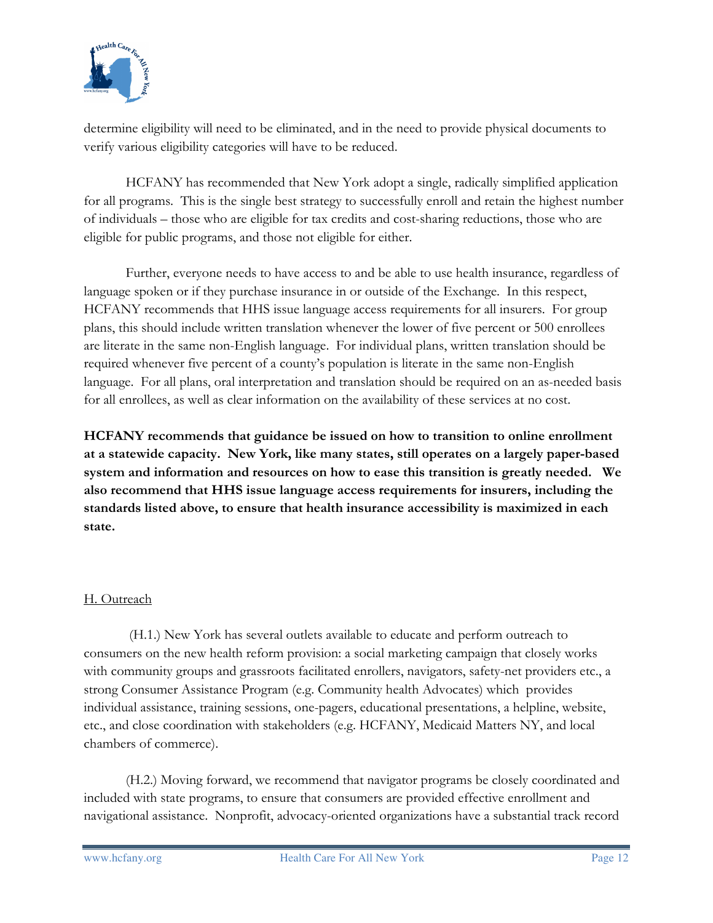

determine eligibility will need to be eliminated, and in the need to provide physical documents to verify various eligibility categories will have to be reduced.

HCFANY has recommended that New York adopt a single, radically simplified application for all programs. This is the single best strategy to successfully enroll and retain the highest number of individuals – those who are eligible for tax credits and cost-sharing reductions, those who are eligible for public programs, and those not eligible for either.

Further, everyone needs to have access to and be able to use health insurance, regardless of language spoken or if they purchase insurance in or outside of the Exchange. In this respect, HCFANY recommends that HHS issue language access requirements for all insurers. For group plans, this should include written translation whenever the lower of five percent or 500 enrollees are literate in the same non-English language. For individual plans, written translation should be required whenever five percent of a county's population is literate in the same non-English language. For all plans, oral interpretation and translation should be required on an as-needed basis for all enrollees, as well as clear information on the availability of these services at no cost.

HCFANY recommends that guidance be issued on how to transition to online enrollment at a statewide capacity. New York, like many states, still operates on a largely paper-based system and information and resources on how to ease this transition is greatly needed. We also recommend that HHS issue language access requirements for insurers, including the standards listed above, to ensure that health insurance accessibility is maximized in each state.

# H. Outreach

 (H.1.) New York has several outlets available to educate and perform outreach to consumers on the new health reform provision: a social marketing campaign that closely works with community groups and grassroots facilitated enrollers, navigators, safety-net providers etc., a strong Consumer Assistance Program (e.g. Community health Advocates) which provides individual assistance, training sessions, one-pagers, educational presentations, a helpline, website, etc., and close coordination with stakeholders (e.g. HCFANY, Medicaid Matters NY, and local chambers of commerce).

(H.2.) Moving forward, we recommend that navigator programs be closely coordinated and included with state programs, to ensure that consumers are provided effective enrollment and navigational assistance. Nonprofit, advocacy-oriented organizations have a substantial track record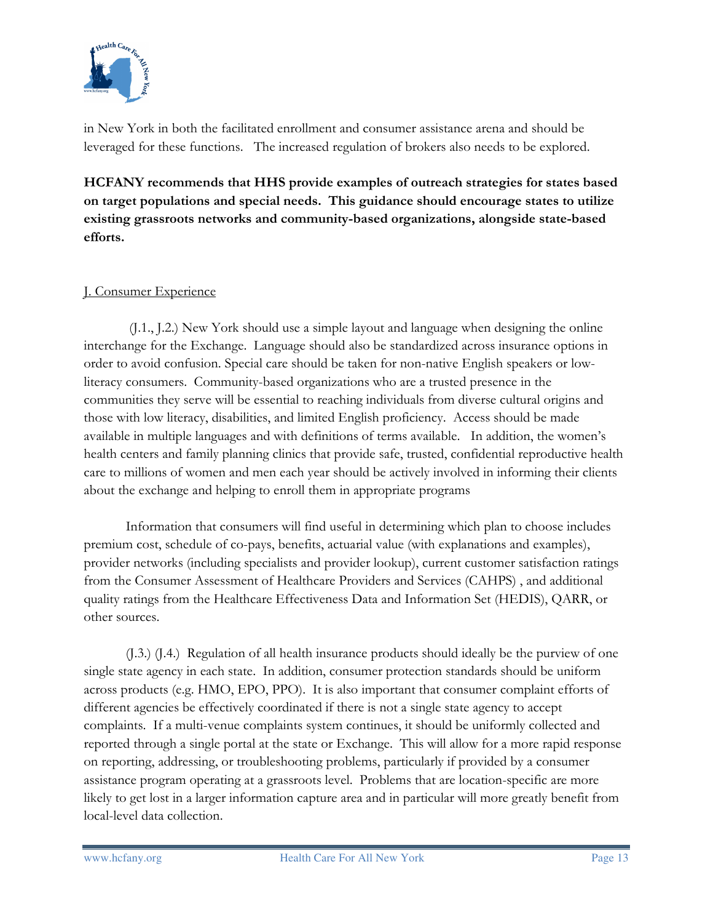

in New York in both the facilitated enrollment and consumer assistance arena and should be leveraged for these functions. The increased regulation of brokers also needs to be explored.

HCFANY recommends that HHS provide examples of outreach strategies for states based on target populations and special needs. This guidance should encourage states to utilize existing grassroots networks and community-based organizations, alongside state-based efforts.

### J. Consumer Experience

 (J.1., J.2.) New York should use a simple layout and language when designing the online interchange for the Exchange. Language should also be standardized across insurance options in order to avoid confusion. Special care should be taken for non-native English speakers or lowliteracy consumers. Community-based organizations who are a trusted presence in the communities they serve will be essential to reaching individuals from diverse cultural origins and those with low literacy, disabilities, and limited English proficiency. Access should be made available in multiple languages and with definitions of terms available. In addition, the women's health centers and family planning clinics that provide safe, trusted, confidential reproductive health care to millions of women and men each year should be actively involved in informing their clients about the exchange and helping to enroll them in appropriate programs

Information that consumers will find useful in determining which plan to choose includes premium cost, schedule of co-pays, benefits, actuarial value (with explanations and examples), provider networks (including specialists and provider lookup), current customer satisfaction ratings from the Consumer Assessment of Healthcare Providers and Services (CAHPS) , and additional quality ratings from the Healthcare Effectiveness Data and Information Set (HEDIS), QARR, or other sources.

 (J.3.) (J.4.) Regulation of all health insurance products should ideally be the purview of one single state agency in each state. In addition, consumer protection standards should be uniform across products (e.g. HMO, EPO, PPO). It is also important that consumer complaint efforts of different agencies be effectively coordinated if there is not a single state agency to accept complaints. If a multi-venue complaints system continues, it should be uniformly collected and reported through a single portal at the state or Exchange. This will allow for a more rapid response on reporting, addressing, or troubleshooting problems, particularly if provided by a consumer assistance program operating at a grassroots level. Problems that are location-specific are more likely to get lost in a larger information capture area and in particular will more greatly benefit from local-level data collection.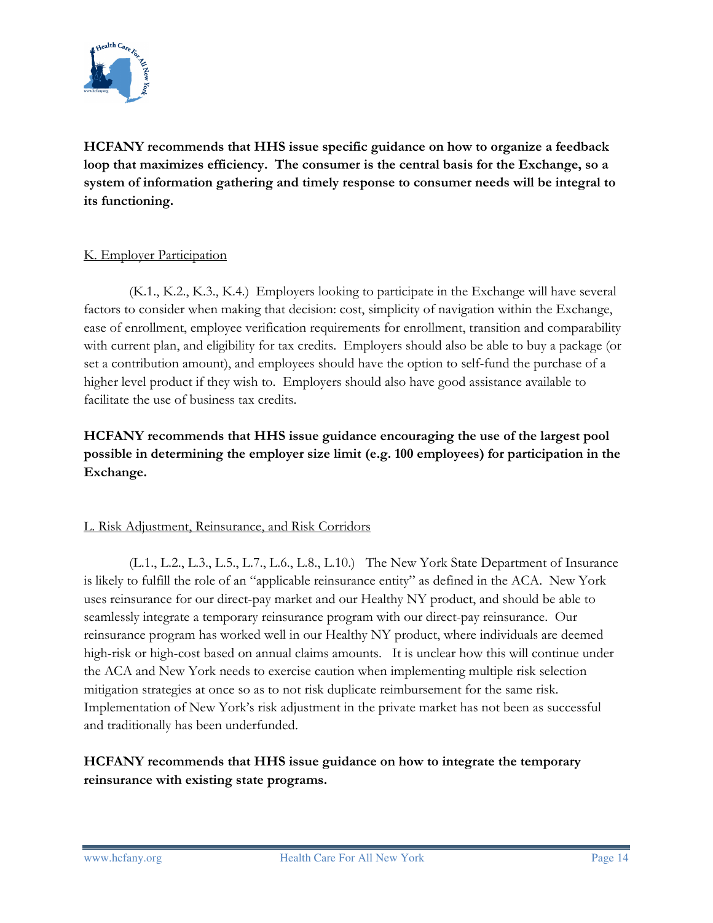

HCFANY recommends that HHS issue specific guidance on how to organize a feedback loop that maximizes efficiency. The consumer is the central basis for the Exchange, so a system of information gathering and timely response to consumer needs will be integral to its functioning.

### K. Employer Participation

 (K.1., K.2., K.3., K.4.) Employers looking to participate in the Exchange will have several factors to consider when making that decision: cost, simplicity of navigation within the Exchange, ease of enrollment, employee verification requirements for enrollment, transition and comparability with current plan, and eligibility for tax credits. Employers should also be able to buy a package (or set a contribution amount), and employees should have the option to self-fund the purchase of a higher level product if they wish to. Employers should also have good assistance available to facilitate the use of business tax credits.

HCFANY recommends that HHS issue guidance encouraging the use of the largest pool possible in determining the employer size limit (e.g. 100 employees) for participation in the Exchange.

#### L. Risk Adjustment, Reinsurance, and Risk Corridors

 (L.1., L.2., L.3., L.5., L.7., L.6., L.8., L.10.) The New York State Department of Insurance is likely to fulfill the role of an "applicable reinsurance entity" as defined in the ACA. New York uses reinsurance for our direct-pay market and our Healthy NY product, and should be able to seamlessly integrate a temporary reinsurance program with our direct-pay reinsurance. Our reinsurance program has worked well in our Healthy NY product, where individuals are deemed high-risk or high-cost based on annual claims amounts. It is unclear how this will continue under the ACA and New York needs to exercise caution when implementing multiple risk selection mitigation strategies at once so as to not risk duplicate reimbursement for the same risk. Implementation of New York's risk adjustment in the private market has not been as successful and traditionally has been underfunded.

# HCFANY recommends that HHS issue guidance on how to integrate the temporary reinsurance with existing state programs.